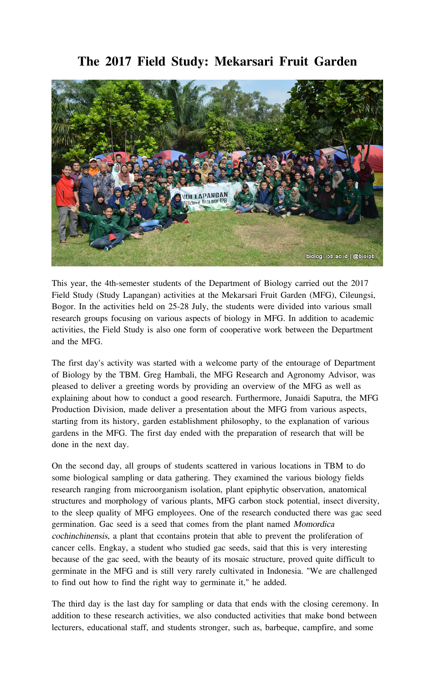## **The 2017 Field Study: Mekarsari Fruit Garden**



This year, the 4th-semester students of the Department of Biology carried out the 2017 Field Study (Study Lapangan) activities at the Mekarsari Fruit Garden (MFG), Cileungsi, Bogor. In the activities held on 25-28 July, the students were divided into various small research groups focusing on various aspects of biology in MFG. In addition to academic activities, the Field Study is also one form of cooperative work between the Department and the MFG.

The first day's activity was started with a welcome party of the entourage of Department of Biology by the TBM. Greg Hambali, the MFG Research and Agronomy Advisor, was pleased to deliver a greeting words by providing an overview of the MFG as well as explaining about how to conduct a good research. Furthermore, Junaidi Saputra, the MFG Production Division, made deliver a presentation about the MFG from various aspects, starting from its history, garden establishment philosophy, to the explanation of various gardens in the MFG. The first day ended with the preparation of research that will be done in the next day.

On the second day, all groups of students scattered in various locations in TBM to do some biological sampling or data gathering. They examined the various biology fields research ranging from microorganism isolation, plant epiphytic observation, anatomical structures and morphology of various plants, MFG carbon stock potential, insect diversity, to the sleep quality of MFG employees. One of the research conducted there was gac seed germination. Gac seed is a seed that comes from the plant named Momordica cochinchinensis, a plant that ccontains protein that able to prevent the proliferation of cancer cells. Engkay, a student who studied gac seeds, said that this is very interesting because of the gac seed, with the beauty of its mosaic structure, proved quite difficult to germinate in the MFG and is still very rarely cultivated in Indonesia. "We are challenged to find out how to find the right way to germinate it," he added.

The third day is the last day for sampling or data that ends with the closing ceremony. In addition to these research activities, we also conducted activities that make bond between lecturers, educational staff, and students stronger, such as, barbeque, campfire, and some